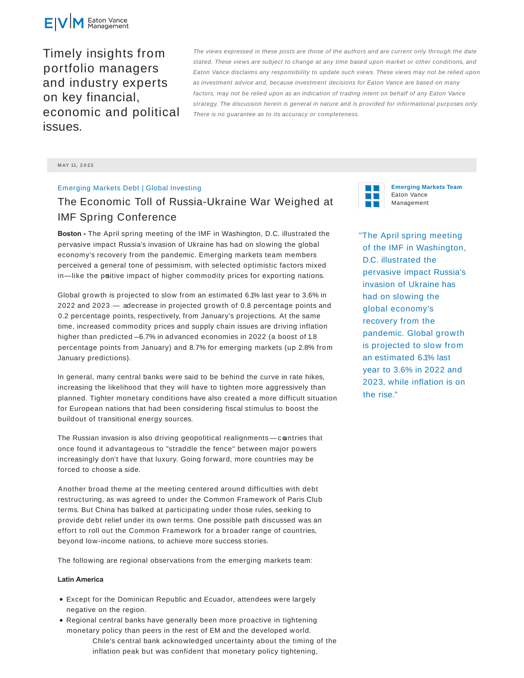

Timely insights from portfolio managers and industry experts on key financial, economic and political issues.

The views expressed in these posts are those of the authors and are current only through the date stated. These views are subject to change at any time based upon market or other conditions, and Eaton Vance disclaims any responsibility to update such views. These views may not be relied upon as investment advice and, because investment decisions for Eaton Vance are based on many factors, may not be relied upon as an indication of trading intent on behalf of any Eaton Vance strategy. The discussion herein is general in nature and is provided for informational purposes only. There is no guarantee as to its accuracy or completeness.

#### **M AY 11, 2 0 2 2**

# Emerging Markets Debt | Global Investing

# The Economic Toll of Russia-Ukraine War Weighed at IMF Spring Conference

**Boston -** The April spring meeting of the IMF in Washington, D.C. illustrated the pervasive impact Russia's invasion of Ukraine has had on slowing the global economy's recovery from the pandemic. Emerging markets team members perceived a general tone of pessimism, with selected optimistic factors mixed in—like the positive impact of higher commodity prices for exporting nations.

Global growth is projected to slow from an estimated 6.1% last year to 3.6% in 2022 and 2023 - adecrease in projected growth of 0.8 percentage points and 0.2 percentage points, respectively, from January's projections. At the same time, increased commodity prices and supply chain issues are driving inflation higher than predicted —5.7% in advanced economies in 2022 (a boost of 1.8 percentage points from January) and 8.7% for emerging markets (up 2.8% from January predictions).

In general, many central banks were said to be behind the curve in rate hikes, increasing the likelihood that they will have to tighten more aggressively than planned. Tighter monetary conditions have also created a more difficult situation for European nations that had been considering fiscal stimulus to boost the buildout of transitional energy sources.

The Russian invasion is also driving geopolitical realignments - countries that once found it advantageous to "straddle the fence" between major powers increasingly don't have that luxury. Going forward, more countries may be forced to choose a side.

Another broad theme at the meeting centered around difficulties with debt restructuring, as was agreed to under the Common Framework of Paris Club terms. But China has balked at participating under those rules, seeking to provide debt relief under its own terms. One possible path discussed was an effort to roll out the Common Framework for a broader range of countries, beyond low-income nations, to achieve more success stories.

The following are regional observations from the emerging markets team:

### **Latin America**

- Except for the Dominican Republic and Ecuador, attendees were largely negative on the region.
- Regional central banks have generally been more proactive in tightening monetary policy than peers in the rest of EM and the developed world. Chile's central bank acknowledged uncertainty about the timing of the inflation peak but was confident that monetary policy tightening,



**Emerging Markets Team** Eaton Vance Management

"The April spring meeting of the IMF in Washington, D.C. illustrated the pervasive impact Russia's invasion of Ukraine has had on slowing the global economy's recovery from the pandemic. Global growth is projected to slow from an estimated 6.1% last year to 3.6% in 2022 and 2023, while inflation is on the rise."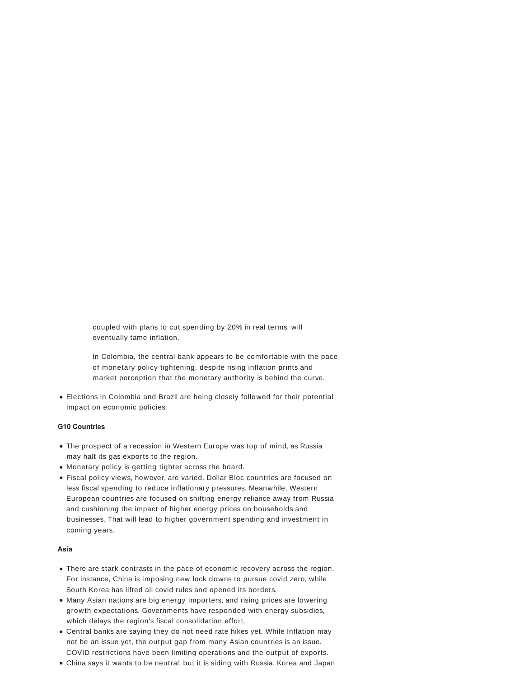coupled with plans to cut spending by 20% in real terms, will eventually tame inflation.

In Colombia, the central bank appears to be comfortable with the pace of monetary policy tightening, despite rising inflation prints and market perception that the monetary authority is behind the curve.

Elections in Colombia and Brazil are being closely followed for their potential impact on economic policies.

## **G10 Countries**

- The prospect of a recession in Western Europe was top of mind, as Russia may halt its gas exports to the region.
- Monetary policy is getting tighter across the board.
- Fiscal policy views, however, are varied. Dollar Bloc countries are focused on less fiscal spending to reduce inflationary pressures. Meanwhile, Western European countries are focused on shifting energy reliance away from Russia and cushioning the impact of higher energy prices on households and businesses. That will lead to higher government spending and investment in coming years.

#### **Asia**

- There are stark contrasts in the pace of economic recovery across the region. For instance, China is imposing new lock downs to pursue covid zero, while South Korea has lifted all covid rules and opened its borders.
- Many Asian nations are big energy importers, and rising prices are lowering growth expectations. Governments have responded with energy subsidies, which delays the region's fiscal consolidation effort.
- Central banks are saying they do not need rate hikes yet. While Inflation may not be an issue yet, the output gap from many Asian countries is an issue. COVID restrictions have been limiting operations and the output of exports.
- China says it wants to be neutral, but it is siding with Russia. Korea and Japan